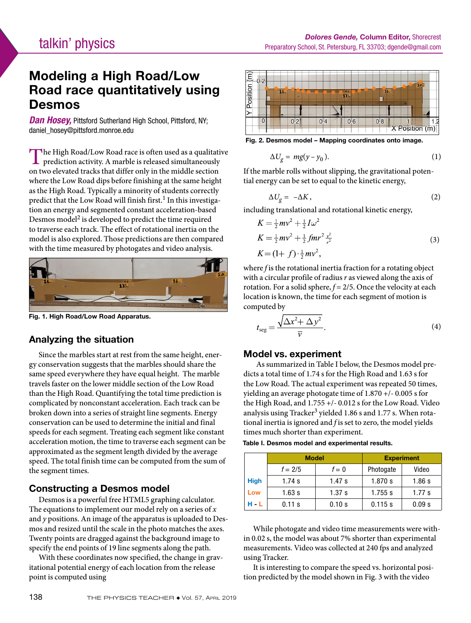# Modeling a High Road/Low Road race quantitatively using Desmos

*Dan Hosey,* Pittsford Sutherland High School, Pittsford, NY; daniel\_hosey@pittsford.monroe.edu

The High Road/Low Road race is often used as a qualitative prediction activity. A marble is released simultaneously on two elevated tracks that differ only in the middle section where the Low Road dips before finishing at the same height as the High Road. Typically a minority of students correctly predict that the Low Road will finish first.<sup>1</sup> In this investigation an energy and segmented constant acceleration-based Desmos model<sup>2</sup> is developed to predict the time required to traverse each track. The effect of rotational inertia on the model is also explored. Those predictions are then compared with the time measured by photogates and video analysis.



Fig. 1. High Road/Low Road Apparatus.

### Analyzing the situation

Since the marbles start at rest from the same height, energy conservation suggests that the marbles should share the same speed everywhere they have equal height. The marble travels faster on the lower middle section of the Low Road than the High Road. Quantifying the total time prediction is complicated by nonconstant acceleration. Each track can be broken down into a series of straight line segments. Energy conservation can be used to determine the initial and final speeds for each segment. Treating each segment like constant acceleration motion, the time to traverse each segment can be approximated as the segment length divided by the average speed. The total finish time can be computed from the sum of the segment times.

### Constructing a Desmos model

Desmos is a powerful free HTML5 graphing calculator. The equations to implement our model rely on a series of *x* and *y* positions. An image of the apparatus is uploaded to Desmos and resized until the scale in the photo matches the axes. Twenty points are dragged against the background image to specify the end points of 19 line segments along the path.

With these coordinates now specified, the change in gravitational potential energy of each location from the release point is computed using



Fig. 2. Desmos model – Mapping coordinates onto image.

$$
\Delta U_g = mg(y - y_0). \tag{1}
$$

If the marble rolls without slipping, the gravitational potential energy can be set to equal to the kinetic energy,

$$
\Delta U_g = -\Delta K, \qquad (2)
$$

including translational and rotational kinetic energy,

$$
K = \frac{1}{2}mv^2 + \frac{1}{2}I\omega^2
$$
  
\n
$$
K = \frac{1}{2}mv^2 + \frac{1}{2}fmr^2\frac{v^2}{r^2}
$$
  
\n
$$
K = (1+f)\cdot\frac{1}{2}mv^2,
$$
\n(3)

where *f* is the rotational inertia fraction for a rotating object with a circular profile of radius *r* as viewed along the axis of rotation. For a solid sphere, *f* = 2/5. Once the velocity at each location is known, the time for each segment of motion is computed by

$$
t_{\text{seg}} = \frac{\sqrt{\Delta x^2 + \Delta y^2}}{\overline{v}}.\tag{4}
$$

### Model vs. experiment

 As summarized in Table I below, the Desmos model predicts a total time of 1.74 s for the High Road and 1.63 s for the Low Road. The actual experiment was repeated 50 times, yielding an average photogate time of 1.870 +/- 0.005 s for the High Road, and 1.755 +/- 0.012 s for the Low Road. Video analysis using Tracker<sup>3</sup> yielded 1.86 s and 1.77 s. When rotational inertia is ignored and *f* is set to zero, the model yields times much shorter than experiment.

| Table I. Desmos model and experimental results. |
|-------------------------------------------------|
|-------------------------------------------------|

|             | <b>Model</b> |        | <b>Experiment</b> |        |
|-------------|--------------|--------|-------------------|--------|
|             | $f = 2/5$    | $f=0$  | Photogate         | Video  |
| <b>High</b> | 1.74 $s$     | 1.47s  | 1.870 s           | 1.86s  |
| Low         | 1.63s        | 1.37 s | $1.755$ s         | 1.77 s |
| $-1$        | 0.11 s       | 0.10 s | 0.115 s           | 0.09 s |

While photogate and video time measurements were within 0.02 s, the model was about 7% shorter than experimental measurements. Video was collected at 240 fps and analyzed using Tracker.

It is interesting to compare the speed vs. horizontal position predicted by the model shown in Fig. 3 with the video